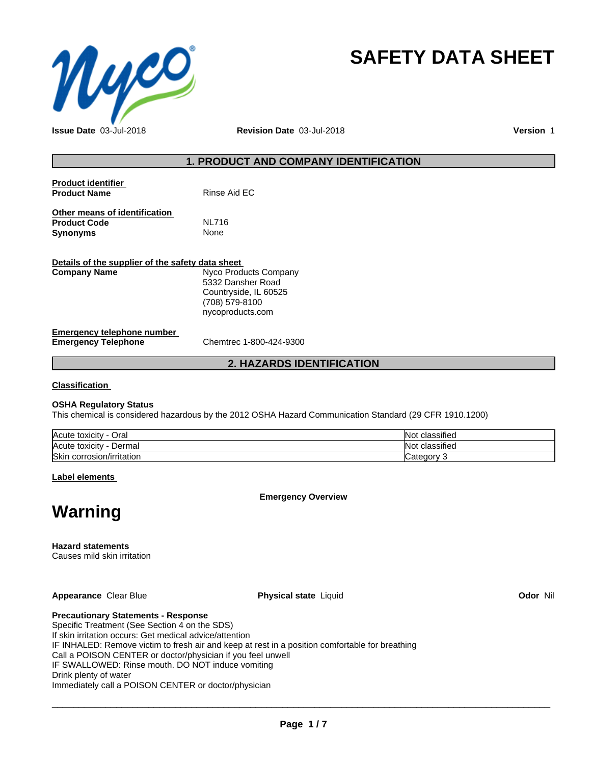

# **SAFETY DATA SHEET**

**Issue Date** 03-Jul-2018 **Revision Date** 03-Jul-2018 **Version** 1

## **1. PRODUCT AND COMPANY IDENTIFICATION**

| <b>Product identifier</b><br><b>Product Name</b>     | Rinse Aid EC          |  |
|------------------------------------------------------|-----------------------|--|
| Other means of identification<br><b>Product Code</b> | <b>NL716</b>          |  |
| <b>Synonyms</b>                                      | None                  |  |
| Details of the supplier of the safety data sheet     |                       |  |
| <b>Company Name</b>                                  | Nyco Products Company |  |
|                                                      | 5332 Dansher Road     |  |

5332 Dansher Road Countryside, IL 60525 (708) 579-8100 nycoproducts.com

#### **Emergency telephone number Emergency Telephone** Chemtrec 1-800-424-9300

## **2. HAZARDS IDENTIFICATION**

**Classification**

#### **OSHA Regulatory Status**

This chemical is considered hazardous by the 2012 OSHA Hazard Communication Standard (29 CFR 1910.1200)

| Acute toxicity           | $\cdots$                      |
|--------------------------|-------------------------------|
| Oral                     | classified                    |
| -                        | NI.                           |
| Acute toxicity<br>Dermal | $\cdots$<br>classified<br>NI. |
| Skir                     | ∵ategory:                     |
| corrosion/irritation     |                               |

**Label elements**

**Emergency Overview**

# **Warning**

**Hazard statements**

Causes mild skin irritation

**Appearance** Clear Blue **Physical state** Liquid **Odor** Nil

**Precautionary Statements - Response**

Specific Treatment (See Section 4 on the SDS) If skin irritation occurs: Get medical advice/attention IF INHALED: Remove victim to fresh air and keep at rest in a position comfortable for breathing Call a POISON CENTER or doctor/physician if you feel unwell IF SWALLOWED: Rinse mouth. DO NOT induce vomiting Drink plenty of water Immediately call a POISON CENTER or doctor/physician

 $\overline{\phantom{a}}$  ,  $\overline{\phantom{a}}$  ,  $\overline{\phantom{a}}$  ,  $\overline{\phantom{a}}$  ,  $\overline{\phantom{a}}$  ,  $\overline{\phantom{a}}$  ,  $\overline{\phantom{a}}$  ,  $\overline{\phantom{a}}$  ,  $\overline{\phantom{a}}$  ,  $\overline{\phantom{a}}$  ,  $\overline{\phantom{a}}$  ,  $\overline{\phantom{a}}$  ,  $\overline{\phantom{a}}$  ,  $\overline{\phantom{a}}$  ,  $\overline{\phantom{a}}$  ,  $\overline{\phantom{a}}$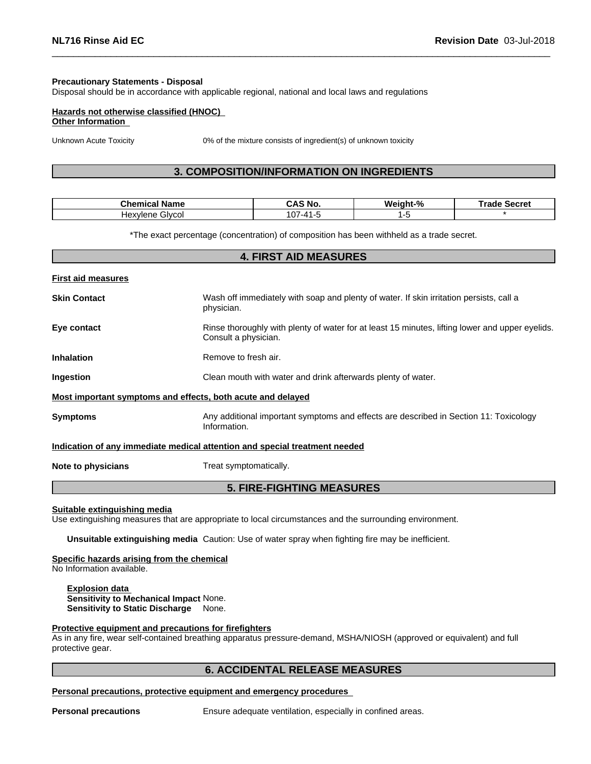#### **Precautionary Statements - Disposal**

Disposal should be in accordance with applicable regional, national and local laws and regulations

#### **Hazards not otherwise classified (HNOC) Other Information**

Unknown Acute Toxicity 0% of the mixture consists of ingredient(s) of unknown toxicity

## **3. COMPOSITION/INFORMATION ON INGREDIENTS**

| Chemical Name          | <b>\S No.</b><br>۰л.<br>. | Weight-% | Trade Secret<br>г. |
|------------------------|---------------------------|----------|--------------------|
| Glvcol<br>Hexvl<br>ene | 107<br>⊸41۔7              |          |                    |

\*The exact percentage (concentration) of composition has been withheld as a trade secret.

|                           | <b>4. FIRST AID MEASURES</b>                                                                                            |
|---------------------------|-------------------------------------------------------------------------------------------------------------------------|
| <b>First aid measures</b> |                                                                                                                         |
| <b>Skin Contact</b>       | Wash off immediately with soap and plenty of water. If skin irritation persists, call a<br>physician.                   |
| Eye contact               | Rinse thoroughly with plenty of water for at least 15 minutes, lifting lower and upper eyelids.<br>Consult a physician. |
| <b>Inhalation</b>         | Remove to fresh air.                                                                                                    |
| Ingestion                 | Clean mouth with water and drink afterwards plenty of water.                                                            |
|                           | Most important symptoms and effects, both acute and delayed                                                             |
| <b>Symptoms</b>           | Any additional important symptoms and effects are described in Section 11: Toxicology<br>Information.                   |
|                           | Indication of any immediate medical attention and special treatment needed                                              |
| Note to physicians        | Treat symptomatically.                                                                                                  |
|                           | <b>5. FIRE-FIGHTING MEASURES</b>                                                                                        |

#### **Suitable extinguishing media**

Use extinguishing measures that are appropriate to local circumstances and the surrounding environment.

**Unsuitable extinguishing media** Caution: Use of water spray when fighting fire may be inefficient.

#### **Specific hazards arising from the chemical**

No Information available.

**Explosion data Sensitivity to Mechanical Impact** None. **Sensitivity to Static Discharge** None.

#### **Protective equipment and precautions for firefighters**

As in any fire, wear self-contained breathing apparatus pressure-demand, MSHA/NIOSH (approved or equivalent) and full protective gear.

## **6. ACCIDENTAL RELEASE MEASURES**

#### **Personal precautions, protective equipment and emergency procedures**

**Personal precautions** Ensure adequate ventilation, especially in confined areas.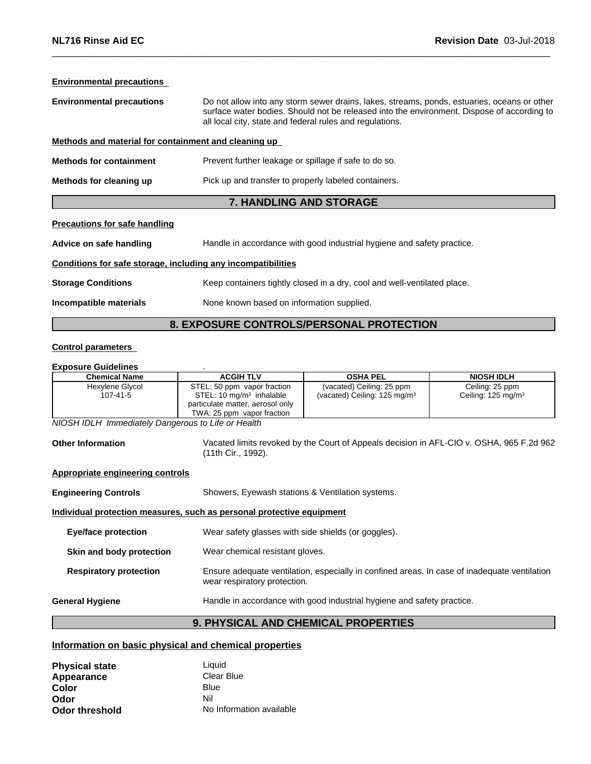## **Environmental precautions Environmental precautions** Do not allow into any storm sewer drains, lakes, streams, ponds, estuaries, oceans or other surface water bodies. Should not be released into the environment. Dispose of according to all local city, state and federal rules and regulations. **Methods and material for containment and cleaning up Methods for containment** Prevent further leakage or spillage if safe to do so. **Methods for cleaning up** Pick up and transfer to properly labeled containers. **7. HANDLING AND STORAGE**

#### **Precautions for safe handling**

**Advice on safe handling** Handle in accordance with good industrial hygiene and safety practice.

#### **Conditions for safe storage, including any incompatibilities**

**Storage Conditions** Keep containers tightly closed in a dry, cool and well-ventilated place.

**Incompatible materials** None known based on information supplied.

## **8. EXPOSURE CONTROLS/PERSONAL PROTECTION**

#### **Control parameters**

## **Exposure Guidelines** .

| <b>Chemical Name</b>        | <b>ACGIH TLV</b>                                                                                                                      | <b>OSHA PEL</b>                                                      | <b>NIOSH IDLH</b>                                |
|-----------------------------|---------------------------------------------------------------------------------------------------------------------------------------|----------------------------------------------------------------------|--------------------------------------------------|
| Hexylene Glycol<br>107-41-5 | STEL: 50 ppm vapor fraction<br>STEL: 10 mg/m <sup>3</sup> inhalable<br>particulate matter, aerosol only<br>TWA: 25 ppm vapor fraction | (vacated) Ceiling: 25 ppm<br>(vacated) Ceiling: $125 \text{ mg/m}^3$ | Ceiling: 25 ppm<br>Ceiling: $125 \text{ mg/m}^3$ |

*NIOSH IDLH Immediately Dangerous to Life or Health*

**Other Information** Vacated limits revoked by the Court of Appeals decision in AFL-CIO v.OSHA, 965 F.2d 962 (11th Cir., 1992).

#### **Appropriate engineering controls**

**Engineering Controls** Showers, Eyewash stations & Ventilation systems.

### **Individual protection measures, such as personal protective equipment**

## **9. PHYSICAL AND CHEMICAL PROPERTIES**

## **Information on basic physical and chemical properties**

| <b>Physical state</b> | Liauid                   |
|-----------------------|--------------------------|
| Appearance            | Clear Blue               |
| Color                 | Blue                     |
| Odor                  | Nil                      |
| <b>Odor threshold</b> | No Information available |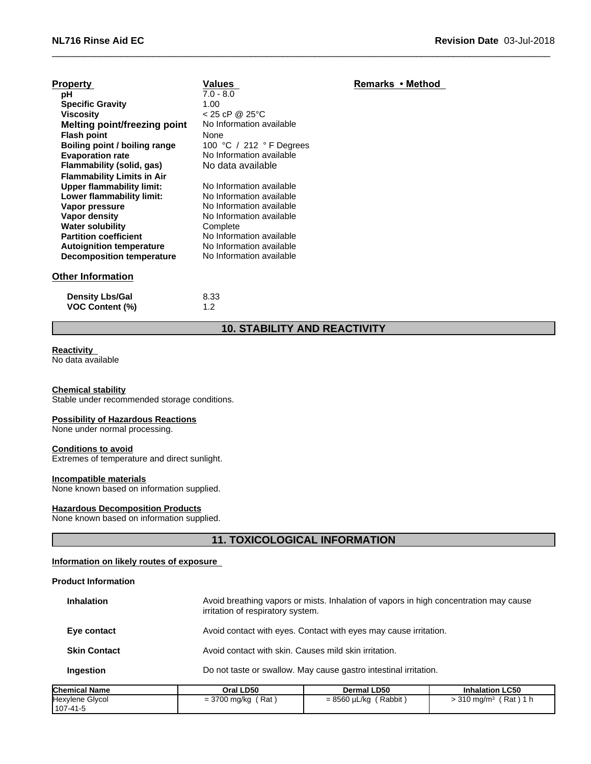| <b>Property</b>                     | <b>Values</b>            | Remarks • Method |
|-------------------------------------|--------------------------|------------------|
| рH                                  | $7.0 - 8.0$              |                  |
| <b>Specific Gravity</b>             | 1.00                     |                  |
| <b>Viscosity</b>                    | $< 25$ cP @ 25°C         |                  |
| <b>Melting point/freezing point</b> | No Information available |                  |
| <b>Flash point</b>                  | None                     |                  |
| Boiling point / boiling range       | 100 °C / 212 °F Degrees  |                  |
| <b>Evaporation rate</b>             | No Information available |                  |
| Flammability (solid, gas)           | No data available        |                  |
| <b>Flammability Limits in Air</b>   |                          |                  |
| <b>Upper flammability limit:</b>    | No Information available |                  |
| Lower flammability limit:           | No Information available |                  |
| Vapor pressure                      | No Information available |                  |
| Vapor density                       | No Information available |                  |
| <b>Water solubility</b>             | Complete                 |                  |
| <b>Partition coefficient</b>        | No Information available |                  |
| <b>Autoignition temperature</b>     | No Information available |                  |
| <b>Decomposition temperature</b>    | No Information available |                  |

## **Other Information**

| <b>Density Lbs/Gal</b> | 8.33 |
|------------------------|------|
| <b>VOC Content (%)</b> |      |

## **10. STABILITY AND REACTIVITY**

## **Reactivity**

No data available

#### **Chemical stability**

Stable under recommended storage conditions.

#### **Possibility of Hazardous Reactions**

None under normal processing.

#### **Conditions to avoid**

Extremes of temperature and direct sunlight.

#### **Incompatible materials**

None known based on information supplied.

#### **Hazardous Decomposition Products**

None known based on information supplied.

## **11. TOXICOLOGICAL INFORMATION**

#### **Information on likely routes of exposure**

#### **Product Information**

| Chemical Name       | Oral LD50                                                        | <b>Dermal LD50</b>                                                                                                         | <b>Inhalation LC50</b> |  |
|---------------------|------------------------------------------------------------------|----------------------------------------------------------------------------------------------------------------------------|------------------------|--|
| Ingestion           | Do not taste or swallow. May cause gastro intestinal irritation. |                                                                                                                            |                        |  |
| <b>Skin Contact</b> |                                                                  | Avoid contact with skin. Causes mild skin irritation.                                                                      |                        |  |
| Eye contact         |                                                                  | Avoid contact with eyes. Contact with eyes may cause irritation.                                                           |                        |  |
| <b>Inhalation</b>   |                                                                  | Avoid breathing vapors or mists. Inhalation of vapors in high concentration may cause<br>irritation of respiratory system. |                        |  |

| IChemical Name                          | Oral LD50                   | Dermal LD50                | <b>Innalation LC50</b>       |
|-----------------------------------------|-----------------------------|----------------------------|------------------------------|
| <b>Glvcor</b><br>Hexylene '<br>107-41-5 | Rat<br>2700<br>= 3700 mg/kg | Rabbit<br>8560<br>J µL/kq. | Rat<br>$-310 \text{ ma/m}^3$ |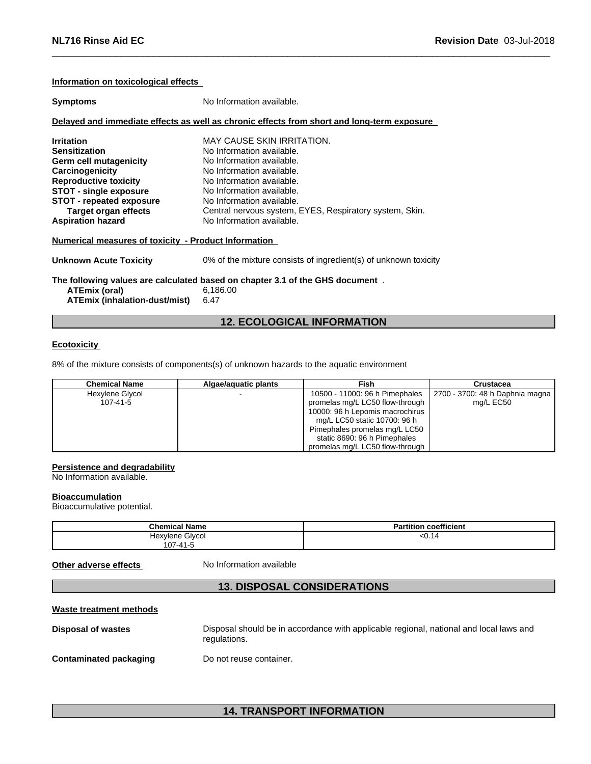| Information on toxicological effects                                                                                                                                                                                                                  |                                                                                                                                                                                                                                                                                                         |  |
|-------------------------------------------------------------------------------------------------------------------------------------------------------------------------------------------------------------------------------------------------------|---------------------------------------------------------------------------------------------------------------------------------------------------------------------------------------------------------------------------------------------------------------------------------------------------------|--|
| <b>Symptoms</b>                                                                                                                                                                                                                                       | No Information available.                                                                                                                                                                                                                                                                               |  |
|                                                                                                                                                                                                                                                       | Delayed and immediate effects as well as chronic effects from short and long-term exposure                                                                                                                                                                                                              |  |
| <b>Irritation</b><br><b>Sensitization</b><br>Germ cell mutagenicity<br>Carcinogenicity<br><b>Reproductive toxicity</b><br><b>STOT - single exposure</b><br><b>STOT - repeated exposure</b><br><b>Target organ effects</b><br><b>Aspiration hazard</b> | <b>MAY CAUSE SKIN IRRITATION.</b><br>No Information available.<br>No Information available.<br>No Information available.<br>No Information available.<br>No Information available.<br>No Information available.<br>Central nervous system, EYES, Respiratory system, Skin.<br>No Information available. |  |
| Numerical measures of toxicity - Product Information                                                                                                                                                                                                  |                                                                                                                                                                                                                                                                                                         |  |
| Unknown Acute Toxicity                                                                                                                                                                                                                                | 0% of the mixture consists of ingredient(s) of unknown toxicity                                                                                                                                                                                                                                         |  |
| The following values are calculated based on chapter 3.1 of the GHS document.<br>ATEmix (oral)<br>6,186.00<br><b>ATEmix (inhalation-dust/mist)</b><br>6.47                                                                                            |                                                                                                                                                                                                                                                                                                         |  |

## **12. ECOLOGICAL INFORMATION**

### **Ecotoxicity**

8% of the mixture consists of components(s) of unknown hazards to the aquatic environment

| <b>Chemical Name</b> | Algae/aguatic plants | Fish                            | Crustacea                       |
|----------------------|----------------------|---------------------------------|---------------------------------|
| Hexylene Glycol      |                      | 10500 - 11000: 96 h Pimephales  | 2700 - 3700: 48 h Daphnia magna |
| 107-41-5             |                      | promelas mg/L LC50 flow-through | mg/L EC50                       |
|                      |                      | 10000: 96 h Lepomis macrochirus |                                 |
|                      |                      | mg/L LC50 static 10700: 96 h    |                                 |
|                      |                      | Pimephales promelas mg/L LC50   |                                 |
|                      |                      | static 8690: 96 h Pimephales    |                                 |
|                      |                      | promelas mg/L LC50 flow-through |                                 |

#### **Persistence and degradability**

No Information available.

#### **Bioaccumulation**

Bioaccumulative potential.

| <b>Chemical Name</b>              | coefficient<br>Partition                                  |
|-----------------------------------|-----------------------------------------------------------|
| Hexylene Glycol<br>$ -$<br>$\sim$ | 50.14<br>$\sim$ $\sim$ $\sim$ $\sim$ $\sim$ $\sim$ $\sim$ |
| 107-41-5                          |                                                           |

**Other adverse effects** No Information available

## **13. DISPOSAL CONSIDERATIONS**

#### **Waste treatment methods**

| Disposal of wastes     | Disposal should be in accordance with applicable regional, national and local laws and<br>regulations. |
|------------------------|--------------------------------------------------------------------------------------------------------|
| Contaminated packaging | Do not reuse container.                                                                                |

## **14. TRANSPORT INFORMATION**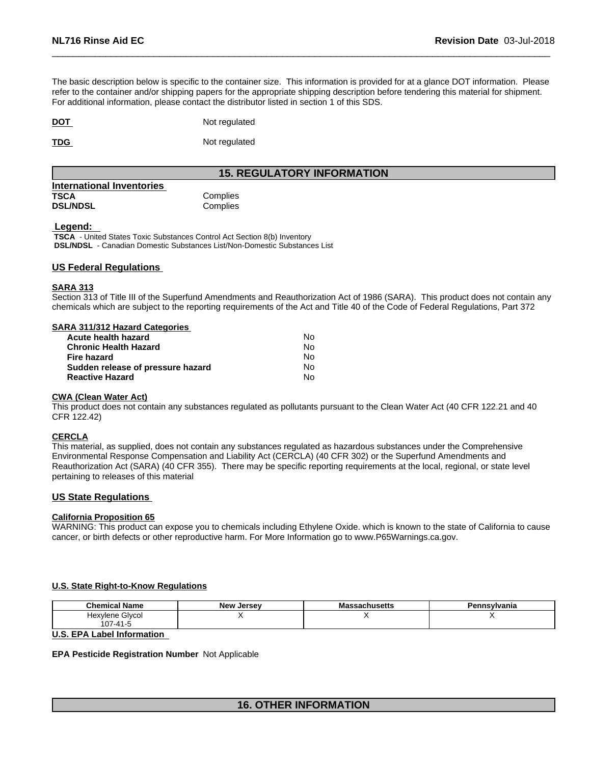The basic description below is specific to the container size. This information is provided for at a glance DOT information. Please refer to the container and/or shipping papers for the appropriate shipping description before tendering this material for shipment. For additional information, please contact the distributor listed in section 1 of this SDS.

**DOT** Not regulated

**TDG** Not regulated

## **15. REGULATORY INFORMATION**

| International Inventories |          |
|---------------------------|----------|
| TSCA                      | Complies |
| <b>DSL/NDSL</b>           | Complies |

#### **Legend:**

 **TSCA** - United States Toxic Substances Control Act Section 8(b) Inventory  **DSL/NDSL** - Canadian Domestic Substances List/Non-Domestic Substances List

#### **US Federal Regulations**

#### **SARA 313**

Section 313 of Title III of the Superfund Amendments and Reauthorization Act of 1986 (SARA). This product does not contain any chemicals which are subject to the reporting requirements of the Act and Title 40 of the Code of Federal Regulations, Part 372

#### **SARA 311/312 Hazard Categories**

| Acute health hazard               | No. |  |
|-----------------------------------|-----|--|
| Chronic Health Hazard             | No. |  |
| Fire hazard                       | N٥  |  |
| Sudden release of pressure hazard | No. |  |
| Reactive Hazard                   | N٥  |  |

#### **CWA** (Clean Water Act)

This product does not contain any substances regulated as pollutants pursuant to the Clean Water Act (40 CFR 122.21 and 40 CFR 122.42)

#### **CERCLA**

This material, as supplied, does not contain any substances regulated as hazardous substances under the Comprehensive Environmental Response Compensation and Liability Act (CERCLA) (40 CFR 302) or the Superfund Amendments and Reauthorization Act (SARA) (40 CFR 355). There may be specific reporting requirements at the local, regional, or state level pertaining to releases of this material

#### **US State Regulations**

#### **California Proposition 65**

WARNING: This product can expose you to chemicals including Ethylene Oxide. which is known to the state of California to cause cancer, or birth defects or other reproductive harm. For More Information go to www.P65Warnings.ca.gov.

#### **U.S. State Right-to-Know Regulations**

| <b>Chemical Name</b> | Jersev<br>Alow.<br>. | eachusatts<br>របាប១ចលេ | Pennsylvania |
|----------------------|----------------------|------------------------|--------------|
| Glvcol<br>Hexylene   |                      |                        |              |
| $\sim$               |                      |                        |              |
| $\cdots$<br>.<br>.   |                      |                        |              |

#### **U.S. EPA Label Information**

#### **EPA Pesticide Registration Number** Not Applicable